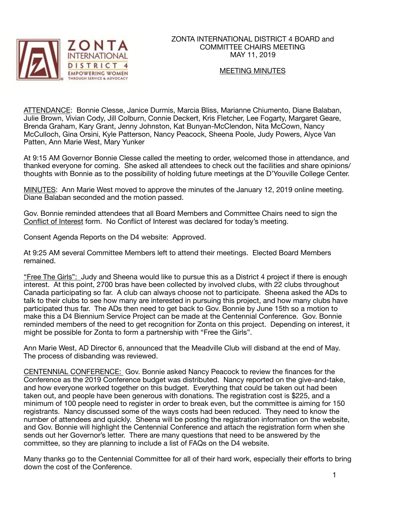

### ZONTA INTERNATIONAL DISTRICT 4 BOARD and COMMITTEE CHAIRS MEETING MAY 11, 2019

### MEETING MINUTES

ATTENDANCE: Bonnie Clesse, Janice Durmis, Marcia Bliss, Marianne Chiumento, Diane Balaban, Julie Brown, Vivian Cody, Jill Colburn, Connie Deckert, Kris Fletcher, Lee Fogarty, Margaret Geare, Brenda Graham, Kary Grant, Jenny Johnston, Kat Bunyan-McClendon, Nita McCown, Nancy McCulloch, Gina Orsini, Kyle Patterson, Nancy Peacock, Sheena Poole, Judy Powers, Alyce Van Patten, Ann Marie West, Mary Yunker

At 9:15 AM Governor Bonnie Clesse called the meeting to order, welcomed those in attendance, and thanked everyone for coming. She asked all attendees to check out the facilities and share opinions/ thoughts with Bonnie as to the possibility of holding future meetings at the D'Youville College Center.

MINUTES: Ann Marie West moved to approve the minutes of the January 12, 2019 online meeting. Diane Balaban seconded and the motion passed.

Gov. Bonnie reminded attendees that all Board Members and Committee Chairs need to sign the Conflict of Interest form. No Conflict of Interest was declared for today's meeting.

Consent Agenda Reports on the D4 website: Approved.

At 9:25 AM several Committee Members left to attend their meetings. Elected Board Members remained.

"Free The Girls": Judy and Sheena would like to pursue this as a District 4 project if there is enough interest. At this point, 2700 bras have been collected by involved clubs, with 22 clubs throughout Canada participating so far. A club can always choose not to participate. Sheena asked the ADs to talk to their clubs to see how many are interested in pursuing this project, and how many clubs have participated thus far. The ADs then need to get back to Gov. Bonnie by June 15th so a motion to make this a D4 Biennium Service Project can be made at the Centennial Conference. Gov. Bonnie reminded members of the need to get recognition for Zonta on this project. Depending on interest, it might be possible for Zonta to form a partnership with "Free the Girls".

Ann Marie West, AD Director 6, announced that the Meadville Club will disband at the end of May. The process of disbanding was reviewed.

CENTENNIAL CONFERENCE: Gov. Bonnie asked Nancy Peacock to review the finances for the Conference as the 2019 Conference budget was distributed. Nancy reported on the give-and-take, and how everyone worked together on this budget. Everything that could be taken out had been taken out, and people have been generous with donations. The registration cost is \$225, and a minimum of 100 people need to register in order to break even, but the committee is aiming for 150 registrants. Nancy discussed some of the ways costs had been reduced. They need to know the number of attendees and quickly. Sheena will be posting the registration information on the website, and Gov. Bonnie will highlight the Centennial Conference and attach the registration form when she sends out her Governor's letter. There are many questions that need to be answered by the committee, so they are planning to include a list of FAQs on the D4 website.

Many thanks go to the Centennial Committee for all of their hard work, especially their efforts to bring down the cost of the Conference.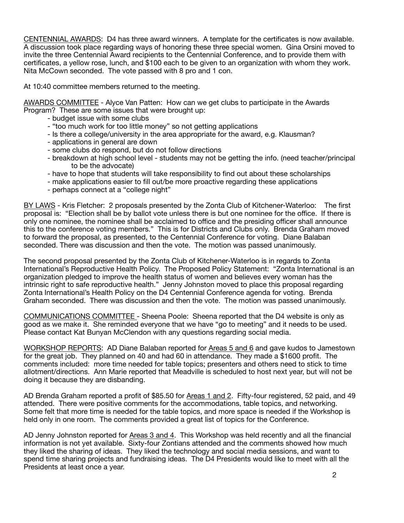CENTENNIAL AWARDS: D4 has three award winners. A template for the certificates is now available. A discussion took place regarding ways of honoring these three special women. Gina Orsini moved to invite the three Centennial Award recipients to the Centennial Conference, and to provide them with certificates, a yellow rose, lunch, and \$100 each to be given to an organization with whom they work. Nita McCown seconded. The vote passed with 8 pro and 1 con.

At 10:40 committee members returned to the meeting.

AWARDS COMMITTEE - Alyce Van Patten: How can we get clubs to participate in the Awards Program? These are some issues that were brought up:

- budget issue with some clubs
- "too much work for too little money" so not getting applications
- Is there a college/university in the area appropriate for the award, e.g. Klausman?
- applications in general are down
- some clubs do respond, but do not follow directions
- breakdown at high school level students may not be getting the info. (need teacher/principal to be the advocate)
- have to hope that students will take responsibility to find out about these scholarships
- make applications easier to fill out/be more proactive regarding these applications
- perhaps connect at a "college night"

BY LAWS - Kris Fletcher: 2 proposals presented by the Zonta Club of Kitchener-Waterloo: The first proposal is: "Election shall be by ballot vote unless there is but one nominee for the office. If there is only one nominee, the nominee shall be acclaimed to office and the presiding officer shall announce this to the conference voting members." This is for Districts and Clubs only. Brenda Graham moved to forward the proposal, as presented, to the Centennial Conference for voting. Diane Balaban seconded. There was discussion and then the vote. The motion was passed unanimously.

The second proposal presented by the Zonta Club of Kitchener-Waterloo is in regards to Zonta International's Reproductive Health Policy. The Proposed Policy Statement: "Zonta International is an organization pledged to improve the health status of women and believes every woman has the intrinsic right to safe reproductive health." Jenny Johnston moved to place this proposal regarding Zonta International's Health Policy on the D4 Centennial Conference agenda for voting. Brenda Graham seconded. There was discussion and then the vote. The motion was passed unanimously.

COMMUNICATIONS COMMITTEE - Sheena Poole: Sheena reported that the D4 website is only as good as we make it. She reminded everyone that we have "go to meeting" and it needs to be used. Please contact Kat Bunyan McClendon with any questions regarding social media.

WORKSHOP REPORTS: AD Diane Balaban reported for Areas 5 and 6 and gave kudos to Jamestown for the great job. They planned on 40 and had 60 in attendance. They made a \$1600 profit. The comments included: more time needed for table topics; presenters and others need to stick to time allotment/directions. Ann Marie reported that Meadville is scheduled to host next year, but will not be doing it because they are disbanding.

AD Brenda Graham reported a profit of \$85.50 for Areas 1 and 2. Fifty-four registered, 52 paid, and 49 attended. There were positive comments for the accommodations, table topics, and networking. Some felt that more time is needed for the table topics, and more space is needed if the Workshop is held only in one room. The comments provided a great list of topics for the Conference.

AD Jenny Johnston reported for Areas 3 and 4. This Workshop was held recently and all the financial information is not yet available. Sixty-four Zontians attended and the comments showed how much they liked the sharing of ideas. They liked the technology and social media sessions, and want to spend time sharing projects and fundraising ideas. The D4 Presidents would like to meet with all the Presidents at least once a year.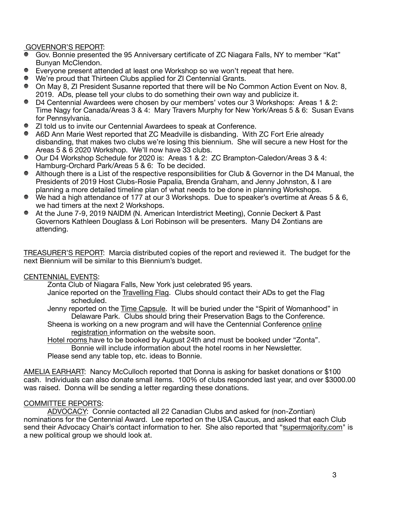# GOVERNOR'S REPORT:

- Gov. Bonnie presented the 95 Anniversary certificate of ZC Niagara Falls, NY to member "Kat" Bunyan McClendon.
- Everyone present attended at least one Workshop so we won't repeat that here.
- We're proud that Thirteen Clubs applied for ZI Centennial Grants.
- On May 8, ZI President Susanne reported that there will be No Common Action Event on Nov. 8, 2019. ADs, please tell your clubs to do something their own way and publicize it.
- D4 Centennial Awardees were chosen by our members' votes our 3 Workshops: Areas 1 & 2: Time Nagy for Canada/Areas 3 & 4: Mary Travers Murphy for New York/Areas 5 & 6: Susan Evans for Pennsylvania.
- ZI told us to invite our Centennial Awardees to speak at Conference.
- A6D Ann Marie West reported that ZC Meadville is disbanding. With ZC Fort Erie already disbanding, that makes two clubs we're losing this biennium. She will secure a new Host for the Areas 5 & 6 2020 Workshop. We'll now have 33 clubs.
- Our D4 Workshop Schedule for 2020 is: Areas 1 & 2: ZC Brampton-Caledon/Areas 3 & 4: Hamburg-Orchard Park/Areas 5 & 6: To be decided.
- Although there is a List of the respective responsibilities for Club & Governor in the D4 Manual, the Presidents of 2019 Host Clubs-Rosie Papalia, Brenda Graham, and Jenny Johnston, & I are planning a more detailed timeline plan of what needs to be done in planning Workshops.
- We had a high attendance of 177 at our 3 Workshops. Due to speaker's overtime at Areas 5 & 6, we had timers at the next 2 Workshops.
- At the June 7-9, 2019 NAIDM (N. American Interdistrict Meeting), Connie Deckert & Past Governors Kathleen Douglass & Lori Robinson will be presenters. Many D4 Zontians are attending.

TREASURER'S REPORT: Marcia distributed copies of the report and reviewed it. The budget for the next Biennium will be similar to this Biennium's budget.

#### CENTENNIAL EVENTS:

Zonta Club of Niagara Falls, New York just celebrated 95 years.

Janice reported on the Travelling Flag. Clubs should contact their ADs to get the Flag scheduled.

Jenny reported on the Time Capsule. It will be buried under the "Spirit of Womanhood" in Delaware Park. Clubs should bring their Preservation Bags to the Conference.

Sheena is working on a new program and will have the Centennial Conference online registration information on the website soon.

Hotel rooms have to be booked by August 24th and must be booked under "Zonta". Bonnie will include information about the hotel rooms in her Newsletter.

Please send any table top, etc. ideas to Bonnie.

AMELIA EARHART: Nancy McCulloch reported that Donna is asking for basket donations or \$100 cash. Individuals can also donate small items. 100% of clubs responded last year, and over \$3000.00 was raised. Donna will be sending a letter regarding these donations.

### COMMITTEE REPORTS:

ADVOCACY: Connie contacted all 22 Canadian Clubs and asked for (non-Zontian) nominations for the Centennial Award. Lee reported on the USA Caucus, and asked that each Club send their Advocacy Chair's contact information to her. She also reported that "[supermajority.com](http://supermajority.com)" is a new political group we should look at.